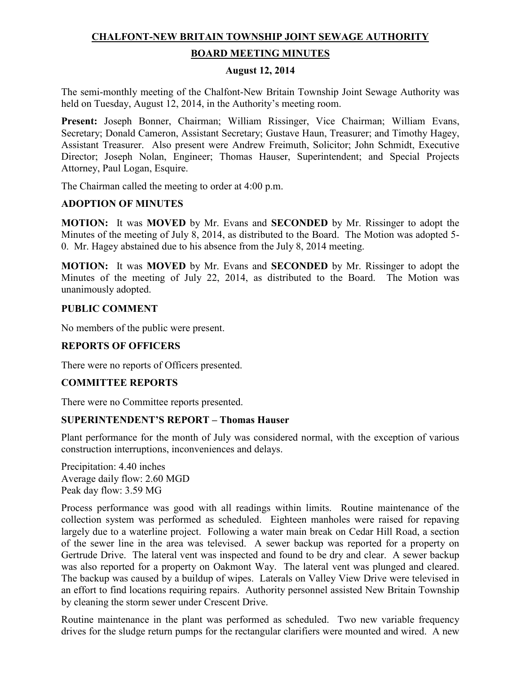# **CHALFONT-NEW BRITAIN TOWNSHIP JOINT SEWAGE AUTHORITY**

## **BOARD MEETING MINUTES**

## **August 12, 2014**

The semi-monthly meeting of the Chalfont-New Britain Township Joint Sewage Authority was held on Tuesday, August 12, 2014, in the Authority's meeting room.

**Present:** Joseph Bonner, Chairman; William Rissinger, Vice Chairman; William Evans, Secretary; Donald Cameron, Assistant Secretary; Gustave Haun, Treasurer; and Timothy Hagey, Assistant Treasurer. Also present were Andrew Freimuth, Solicitor; John Schmidt, Executive Director; Joseph Nolan, Engineer; Thomas Hauser, Superintendent; and Special Projects Attorney, Paul Logan, Esquire.

The Chairman called the meeting to order at 4:00 p.m.

## **ADOPTION OF MINUTES**

**MOTION:** It was **MOVED** by Mr. Evans and **SECONDED** by Mr. Rissinger to adopt the Minutes of the meeting of July 8, 2014, as distributed to the Board. The Motion was adopted 5- 0. Mr. Hagey abstained due to his absence from the July 8, 2014 meeting.

**MOTION:** It was **MOVED** by Mr. Evans and **SECONDED** by Mr. Rissinger to adopt the Minutes of the meeting of July 22, 2014, as distributed to the Board. The Motion was unanimously adopted.

#### **PUBLIC COMMENT**

No members of the public were present.

# **REPORTS OF OFFICERS**

There were no reports of Officers presented.

#### **COMMITTEE REPORTS**

There were no Committee reports presented.

#### **SUPERINTENDENT'S REPORT – Thomas Hauser**

Plant performance for the month of July was considered normal, with the exception of various construction interruptions, inconveniences and delays.

Precipitation: 4.40 inches Average daily flow: 2.60 MGD Peak day flow: 3.59 MG

Process performance was good with all readings within limits. Routine maintenance of the collection system was performed as scheduled. Eighteen manholes were raised for repaving largely due to a waterline project. Following a water main break on Cedar Hill Road, a section of the sewer line in the area was televised. A sewer backup was reported for a property on Gertrude Drive. The lateral vent was inspected and found to be dry and clear. A sewer backup was also reported for a property on Oakmont Way. The lateral vent was plunged and cleared. The backup was caused by a buildup of wipes. Laterals on Valley View Drive were televised in an effort to find locations requiring repairs. Authority personnel assisted New Britain Township by cleaning the storm sewer under Crescent Drive.

Routine maintenance in the plant was performed as scheduled. Two new variable frequency drives for the sludge return pumps for the rectangular clarifiers were mounted and wired. A new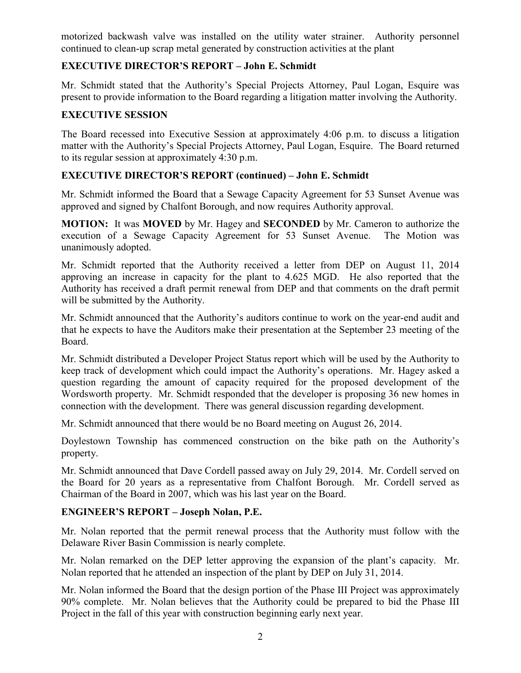motorized backwash valve was installed on the utility water strainer. Authority personnel continued to clean-up scrap metal generated by construction activities at the plant

# **EXECUTIVE DIRECTOR'S REPORT – John E. Schmidt**

Mr. Schmidt stated that the Authority's Special Projects Attorney, Paul Logan, Esquire was present to provide information to the Board regarding a litigation matter involving the Authority.

# **EXECUTIVE SESSION**

The Board recessed into Executive Session at approximately 4:06 p.m. to discuss a litigation matter with the Authority's Special Projects Attorney, Paul Logan, Esquire. The Board returned to its regular session at approximately 4:30 p.m.

# **EXECUTIVE DIRECTOR'S REPORT (continued) – John E. Schmidt**

Mr. Schmidt informed the Board that a Sewage Capacity Agreement for 53 Sunset Avenue was approved and signed by Chalfont Borough, and now requires Authority approval.

**MOTION:** It was **MOVED** by Mr. Hagey and **SECONDED** by Mr. Cameron to authorize the execution of a Sewage Capacity Agreement for 53 Sunset Avenue. The Motion was unanimously adopted.

Mr. Schmidt reported that the Authority received a letter from DEP on August 11, 2014 approving an increase in capacity for the plant to 4.625 MGD. He also reported that the Authority has received a draft permit renewal from DEP and that comments on the draft permit will be submitted by the Authority.

Mr. Schmidt announced that the Authority's auditors continue to work on the year-end audit and that he expects to have the Auditors make their presentation at the September 23 meeting of the Board.

Mr. Schmidt distributed a Developer Project Status report which will be used by the Authority to keep track of development which could impact the Authority's operations. Mr. Hagey asked a question regarding the amount of capacity required for the proposed development of the Wordsworth property. Mr. Schmidt responded that the developer is proposing 36 new homes in connection with the development. There was general discussion regarding development.

Mr. Schmidt announced that there would be no Board meeting on August 26, 2014.

Doylestown Township has commenced construction on the bike path on the Authority's property.

Mr. Schmidt announced that Dave Cordell passed away on July 29, 2014. Mr. Cordell served on the Board for 20 years as a representative from Chalfont Borough. Mr. Cordell served as Chairman of the Board in 2007, which was his last year on the Board.

# **ENGINEER'S REPORT – Joseph Nolan, P.E.**

Mr. Nolan reported that the permit renewal process that the Authority must follow with the Delaware River Basin Commission is nearly complete.

Mr. Nolan remarked on the DEP letter approving the expansion of the plant's capacity. Mr. Nolan reported that he attended an inspection of the plant by DEP on July 31, 2014.

Mr. Nolan informed the Board that the design portion of the Phase III Project was approximately 90% complete. Mr. Nolan believes that the Authority could be prepared to bid the Phase III Project in the fall of this year with construction beginning early next year.